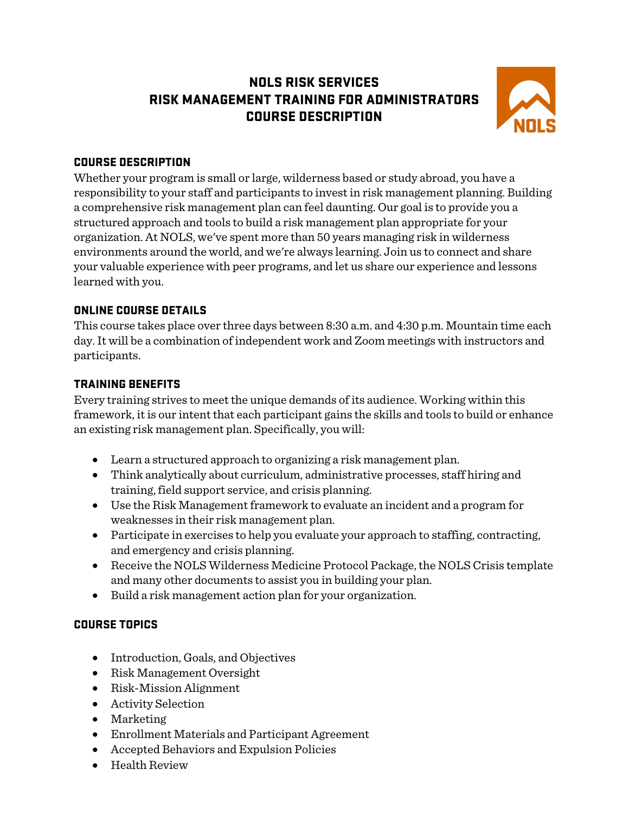# NOLS RISK SERVICES RISK MANAGEMENT TRAINING FOR ADMINISTRATORS COURSE DESCRIPTION



### COURSE DESCRIPTION

Whether your program is small or large, wilderness based or study abroad, you have a responsibility to your staff and participants to invest in risk management planning. Building a comprehensive risk management plan can feel daunting. Our goal is to provide you a structured approach and tools to build a risk management plan appropriate for your organization. At NOLS, we've spent more than 50 years managing risk in wilderness environments around the world, and we're always learning. Join us to connect and share your valuable experience with peer programs, and let us share our experience and lessons learned with you.

### ONLINE COURSE DETAILS

This course takes place over three days between 8:30 a.m. and 4:30 p.m. Mountain time each day.It will be a combination of independent work and Zoom meetings with instructors and participants.

### TRAINING BENEFITS

Every training strives to meet the unique demands of its audience. Working within this framework, it is our intent that each participant gains the skills and tools to build or enhance an existing risk management plan. Specifically, you will:

- Learn a structured approach to organizing a risk management plan.
- Think analytically about curriculum, administrative processes, staff hiring and training, field support service, and crisis planning.
- Use the Risk Management framework to evaluate an incident and a program for weaknesses in their risk management plan.
- Participate in exercises to help you evaluate your approach to staffing, contracting, and emergency and crisis planning.
- Receive the NOLS Wilderness Medicine Protocol Package, the NOLS Crisis template and many other documents to assist you in building your plan.
- Build a risk management action plan for your organization.

## COURSE TOPICS

- Introduction, Goals, and Objectives
- Risk Management Oversight
- Risk-Mission Alignment
- Activity Selection
- Marketing
- Enrollment Materials and Participant Agreement
- Accepted Behaviors and Expulsion Policies
- Health Review